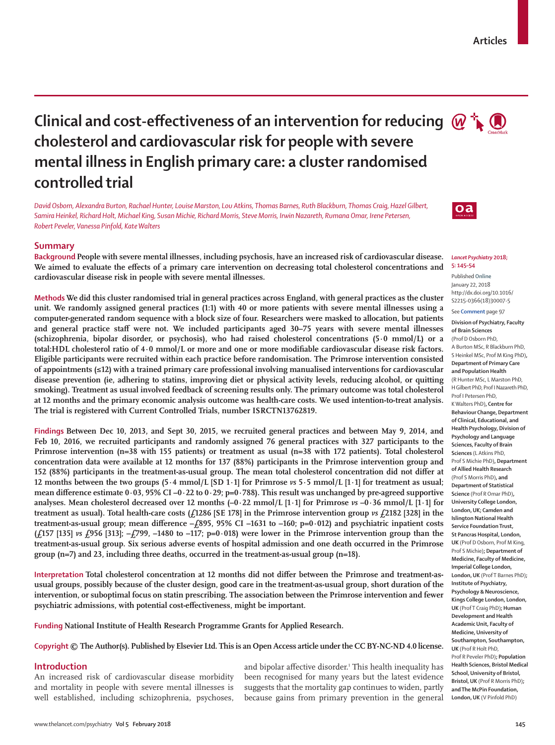# **Clinical and cost-effectiveness of an intervention for reducing**  $\omega$  $\rightarrow$  $\bullet$ **cholesterol and cardiovascular risk for people with severe mental illness in English primary care: a cluster randomised controlled trial**

*David Osborn, Alexandra Burton, Rachael Hunter, Louise Marston, Lou Atkins, Thomas Barnes, Ruth Blackburn, Thomas Craig, Hazel Gilbert, Samira Heinkel, Richard Holt, Michael King, Susan Michie, Richard Morris, Steve Morris, Irwin Nazareth, Rumana Omar, Irene Petersen, Robert Peveler, Vanessa Pinfold, Kate Walters*

## **Summary**

**Background People with severe mental illnesses, including psychosis, have an increased risk of cardiovascular disease. We aimed to evaluate the effects of a primary care intervention on decreasing total cholesterol concentrations and cardiovascular disease risk in people with severe mental illnesses.**

**Methods We did this cluster randomised trial in general practices across England, with general practices as the cluster unit. We randomly assigned general practices (1:1) with 40 or more patients with severe mental illnesses using a computer-generated random sequence with a block size of four. Researchers were masked to allocation, but patients and general practice staff were not. We included participants aged 30–75 years with severe mental illnesses (schizophrenia, bipolar disorder, or psychosis), who had raised cholesterol concentrations (5·0 mmol/L) or a total:HDL cholesterol ratio of 4·0 mmol/L or more and one or more modifiable cardiovascular disease risk factors. Eligible participants were recruited within each practice before randomisation. The Primrose intervention consisted of appointments (≤12) with a trained primary care professional involving manualised interventions for cardiovascular disease prevention (ie, adhering to statins, improving diet or physical activity levels, reducing alcohol, or quitting smoking). Treatment as usual involved feedback of screening results only. The primary outcome was total cholesterol at 12 months and the primary economic analysis outcome was health-care costs. We used intention-to-treat analysis. The trial is registered with Current Controlled Trials, number ISRCTN13762819.**

**Findings Between Dec 10, 2013, and Sept 30, 2015, we recruited general practices and between May 9, 2014, and Feb 10, 2016, we recruited participants and randomly assigned 76 general practices with 327 participants to the Primrose intervention (n=38 with 155 patients) or treatment as usual (n=38 with 172 patients). Total cholesterol concentration data were available at 12 months for 137 (88%) participants in the Primrose intervention group and 152 (88%) participants in the treatment-as-usual group. The mean total cholesterol concentration did not differ at 12 months between the two groups (5·4 mmol/L [SD 1·1] for Primrose** *vs* **5·5 mmol/L [1·1] for treatment as usual; mean difference estimate 0·03, 95% CI –0·22 to 0·29; p=0·788). This result was unchanged by pre-agreed supportive analyses. Mean cholesterol decreased over 12 months (–0·22 mmol/L [1·1] for Primrose** *vs* **–0·36 mmol/L [1·1] for**  treatment as usual). Total health-care costs  $(f1286 | SE 178]$  in the Primrose intervention group  $v s f2182 | 328$  in the **treatment-as-usual group; mean difference –£895, 95% CI –1631 to –160; p=0·012) and psychiatric inpatient costs (£157 [135]** *vs* **£956 [313]; –£799, –1480 to –117; p=0·018) were lower in the Primrose intervention group than the treatment-as-usual group. Six serious adverse events of hospital admission and one death occurred in the Primrose group (n=7) and 23, including three deaths, occurred in the treatment-as-usual group (n=18).**

**Interpretation Total cholesterol concentration at 12 months did not differ between the Primrose and treatment-asusual groups, possibly because of the cluster design, good care in the treatment-as-usual group, short duration of the intervention, or suboptimal focus on statin prescribing. The association between the Primrose intervention and fewer psychiatric admissions, with potential cost-effectiveness, might be important.**

**Funding National Institute of Health Research Programme Grants for Applied Research.**

**Copyright © The Author(s). Published by Elsevier Ltd. This is an Open Access article under the CC BY-NC-ND 4.0 license.**

## **Introduction**

An increased risk of cardiovascular disease morbidity and mortality in people with severe mental illnesses is well established, including schizophrenia, psychoses,

and bipolar affective disorder.<sup>1</sup> This health inequality has been recognised for many years but the latest evidence suggests that the mortality gap continues to widen, partly because gains from primary prevention in the general



#### *Lancet Psychiatry* **2018; 5: 145–54**

Published **Online** January 22, 2018 http://dx.doi.org/10.1016/ S2215-0366(18)30007-5

See **Comment** page 97

**Division of Psychiatry, Faculty of Brain Sciences** (Prof D Osborn PhD, A Burton MSc, R Blackburn PhD, S Heinkel MSc, Prof M King PhD)**, Department of Primary Care and Population Health** (R Hunter MSc, L Marston PhD, H Gilbert PhD, Prof I Nazareth PhD, Prof I Petersen PhD, K Walters PhD)**, Centre for Behaviour Change, Department of Clinical, Educational, and Health Psychology, Division of Psychology and Language Sciences, Faculty of Brain Sciences** (L Atkins PhD, Prof S Michie PhD)**, Department of Allied Health Research** (Prof S Morris PhD)**, and Department of Statistical Science** (Prof R Omar PhD)**, University College London, London, UK; Camden and Islington National Health Service Foundation Trust, St Pancras Hospital, London, UK** (Prof D Osborn, Prof M King, Prof S Michie)**; Department of Medicine, Faculty of Medicine, Imperial College London, London, UK** (Prof T Barnes PhD)**; Institute of Psychiatry, Psychology & Neuroscience, Kings College London, London, UK** (Prof T Craig PhD)**; Human Development and Health Academic Unit, Faculty of Medicine, University of Southampton, Southampton, UK** (Prof R Holt PhD, Prof R Peveler PhD)**; Population Health Sciences, Bristol Medical School, University of Bristol, Bristol, UK** (Prof R Morris PhD)**; and The McPin Foundation, London, UK** (V Pinfold PhD)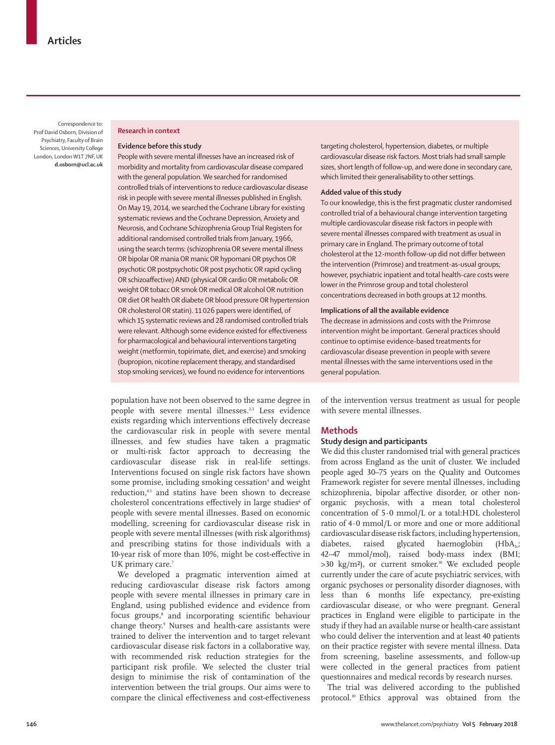Correspondence to: Prof David Osborn, Division of Psychiatry, Faculty of Brain Sciences, University College London, London W1T 7NF, UK **d.osborn@ucl.ac.uk**

#### **Research in context**

## **Evidence before this study**

People with severe mental illnesses have an increased risk of morbidity and mortality from cardiovascular disease compared with the general population. We searched for randomised controlled trials of interventions to reduce cardiovascular disease risk in people with severe mental illnesses published in English. On May 19, 2014, we searched the Cochrane Library for existing systematic reviews and the Cochrane Depression, Anxiety and Neurosis, and Cochrane Schizophrenia Group Trial Registers for additional randomised controlled trials from January, 1966, using the search terms: (schizophrenia OR severe mental illness OR bipolar OR mania OR manic OR hypomani OR psychos OR psychotic OR postpsychotic OR post psychotic OR rapid cycling OR schizoaffective) AND (physical OR cardio OR metabolic OR weight OR tobacc OR smok OR medical OR alcohol OR nutrition OR diet OR health OR diabete OR blood pressure OR hypertension OR cholesterol OR statin). 11026 papers were identified, of which 15 systematic reviews and 28 randomised controlled trials were relevant. Although some evidence existed for effectiveness for pharmacological and behavioural interventions targeting weight (metformin, topirimate, diet, and exercise) and smoking (bupropion, nicotine replacement therapy, and standardised stop smoking services), we found no evidence for interventions

population have not been observed to the same degree in people with severe mental illnesses.<sup>2,3</sup> Less evidence exists regarding which interventions effectively decrease the cardiovascular risk in people with severe mental illnesses, and few studies have taken a pragmatic or multi-risk factor approach to decreasing the cardiovascular disease risk in real-life settings. Interventions focused on single risk factors have shown some promise, including smoking cessation<sup>4</sup> and weight reduction,<sup>4,5</sup> and statins have been shown to decrease cholesterol concentrations effectively in large studies<sup>6</sup> of people with severe mental illnesses. Based on economic modelling, screening for cardiovascular disease risk in people with severe mental illnesses (with risk algorithms) and prescribing statins for those individuals with a 10-year risk of more than 10%, might be cost-effective in UK primary care.<sup>7</sup>

We developed a pragmatic intervention aimed at reducing cardiovascular disease risk factors among people with severe mental illnesses in primary care in England, using published evidence and evidence from focus groups,<sup>8</sup> and incorporating scientific behaviour change theory.9 Nurses and health-care assistants were trained to deliver the intervention and to target relevant cardiovascular disease risk factors in a collaborative way, with recommended risk reduction strategies for the participant risk profile. We selected the cluster trial design to minimise the risk of contamination of the intervention between the trial groups. Our aims were to compare the clinical effectiveness and cost-effectiveness

targeting cholesterol, hypertension, diabetes, or multiple cardiovascular disease risk factors. Most trials had small sample sizes, short length of follow-up, and were done in secondary care, which limited their generalisability to other settings.

### **Added value of this study**

To our knowledge, this is the first pragmatic cluster randomised controlled trial of a behavioural change intervention targeting multiple cardiovascular disease risk factors in people with severe mental illnesses compared with treatment as usual in primary care in England. The primary outcome of total cholesterol at the 12-month follow-up did not differ between the intervention (Primrose) and treatment-as-usual groups; however, psychiatric inpatient and total health-care costs were lower in the Primrose group and total cholesterol concentrations decreased in both groups at 12 months.

## **Implications of all the available evidence**

The decrease in admissions and costs with the Primrose intervention might be important. General practices should continue to optimise evidence-based treatments for cardiovascular disease prevention in people with severe mental illnesses with the same interventions used in the general population.

of the intervention versus treatment as usual for people with severe mental illnesses.

# **Methods**

## **Study design and participants**

We did this cluster randomised trial with general practices from across England as the unit of cluster. We included people aged 30–75 years on the Quality and Outcomes Framework register for severe mental illnesses, including schizophrenia, bipolar affective disorder, or other nonorganic psychosis, with a mean total cholesterol concentration of 5·0 mmol/L or a total:HDL cholesterol ratio of 4·0 mmol/L or more and one or more additional cardiovascular disease risk factors, including hypertension, diabetes, raised glycated haemoglobin  $(HbA<sub>i</sub>)$ ; 42–47 mmol/mol), raised body-mass index (BMI;  $>30$  kg/m<sup>2</sup>), or current smoker.<sup>10</sup> We excluded people currently under the care of acute psychiatric services, with organic psychoses or personality disorder diagnoses, with less than 6 months life expectancy, pre-existing cardiovascular disease, or who were pregnant. General practices in England were eligible to participate in the study if they had an available nurse or health-care assistant who could deliver the intervention and at least 40 patients on their practice register with severe mental illness. Data from screening, baseline assessments, and follow-up were collected in the general practices from patient questionnaires and medical records by research nurses.

The trial was delivered according to the published protocol.10 Ethics approval was obtained from the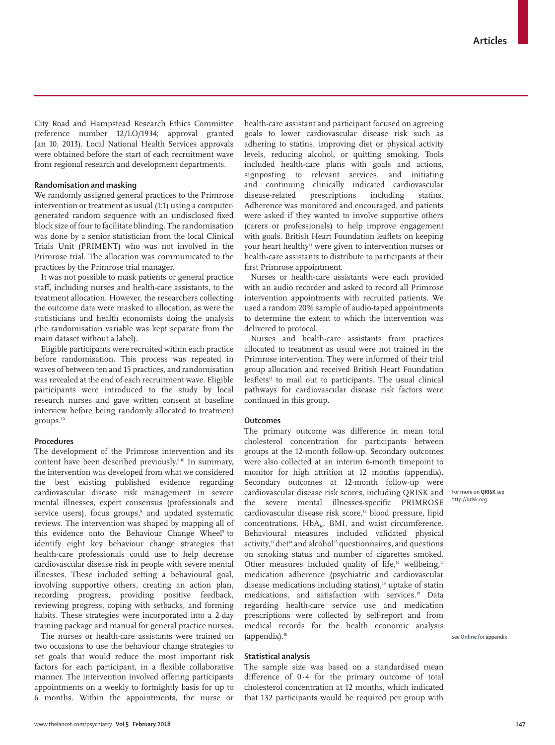City Road and Hampstead Research Ethics Committee (reference number 12/LO/1934; approval granted Jan 10, 2013). Local National Health Services approvals were obtained before the start of each recruitment wave from regional research and development departments.

## **Randomisation and masking**

We randomly assigned general practices to the Primrose intervention or treatment as usual (1:1) using a computergenerated random sequence with an undisclosed fixed block size of four to facilitate blinding. The randomisation was done by a senior statistician from the local Clinical Trials Unit (PRIMENT) who was not involved in the Primrose trial. The allocation was communicated to the practices by the Primrose trial manager.

It was not possible to mask patients or general practice staff, including nurses and health-care assistants, to the treatment allocation. However, the researchers collecting the outcome data were masked to allocation, as were the statisticians and health economists doing the analysis (the randomisation variable was kept separate from the main dataset without a label).

Eligible participants were recruited within each practice before randomisation. This process was repeated in waves of between ten and 15 practices, and randomisation was revealed at the end of each recruitment wave. Eligible participants were introduced to the study by local research nurses and gave written consent at baseline interview before being randomly allocated to treatment groups.<sup>10</sup>

# **Procedures**

The development of the Primrose intervention and its content have been described previously.8,10 In summary, the intervention was developed from what we considered the best existing published evidence regarding cardiovascular disease risk management in severe mental illnesses, expert consensus (professionals and service users), focus groups,<sup>8</sup> and updated systematic reviews. The intervention was shaped by mapping all of this evidence onto the Behaviour Change Wheel<sup>9</sup> to identify eight key behaviour change strategies that health-care professionals could use to help decrease cardiovascular disease risk in people with severe mental illnesses. These included setting a behavioural goal, involving supportive others, creating an action plan, recording progress, providing positive feedback, reviewing progress, coping with setbacks, and forming habits. These strategies were incorporated into a 2-day training package and manual for general practice nurses.

The nurses or health-care assistants were trained on two occasions to use the behaviour change strategies to set goals that would reduce the most important risk factors for each participant, in a flexible collaborative manner. The intervention involved offering participants appointments on a weekly to fortnightly basis for up to 6 months. Within the appointments, the nurse or health-care assistant and participant focused on agreeing goals to lower cardiovascular disease risk such as adhering to statins, improving diet or physical activity levels, reducing alcohol, or quitting smoking. Tools included health-care plans with goals and actions, signposting to relevant services, and initiating and continuing clinically indicated cardiovascular disease-related prescriptions including statins. Adherence was monitored and encouraged, and patients were asked if they wanted to involve supportive others (carers or professionals) to help improve engagement with goals. British Heart Foundation leaflets on keeping your heart healthy11 were given to intervention nurses or health-care assistants to distribute to participants at their first Primrose appointment.

Nurses or health-care assistants were each provided with an audio recorder and asked to record all Primrose intervention appointments with recruited patients. We used a random 20% sample of audio-taped appointments to determine the extent to which the intervention was delivered to protocol.

Nurses and health-care assistants from practices allocated to treatment as usual were not trained in the Primrose intervention. They were informed of their trial group allocation and received British Heart Foundation leaflets<sup>11</sup> to mail out to participants. The usual clinical pathways for cardiovascular disease risk factors were continued in this group.

## **Outcomes**

The primary outcome was difference in mean total cholesterol concentration for participants between groups at the 12-month follow-up. Secondary outcomes were also collected at an interim 6-month timepoint to monitor for high attrition at 12 months (appendix). Secondary outcomes at 12-month follow-up were cardiovascular disease risk scores, including QRISK and the severe mental illnesses-specific PRIMROSE cardiovascular disease risk score,<sup>12</sup> blood pressure, lipid concentrations,  $HbA_{1c}$ , BMI, and waist circumference. Behavioural measures included validated physical activity, $13$  diet<sup>14</sup> and alcohol<sup>15</sup> questionnaires, and questions on smoking status and number of cigarettes smoked. Other measures included quality of life,<sup>16</sup> wellbeing,<sup>17</sup> medication adherence (psychiatric and cardiovascular disease medications including statins),<sup>18</sup> uptake of statin medications, and satisfaction with services.<sup>19</sup> Data regarding health-care service use and medication prescriptions were collected by self-report and from medical records for the health economic analysis (appendix).10

## **Statistical analysis**

The sample size was based on a standardised mean difference of 0·4 for the primary outcome of total cholesterol concentration at 12 months, which indicated that 132 participants would be required per group with

For more on **QRISK** see http://qrisk.org

See **Online** for appendix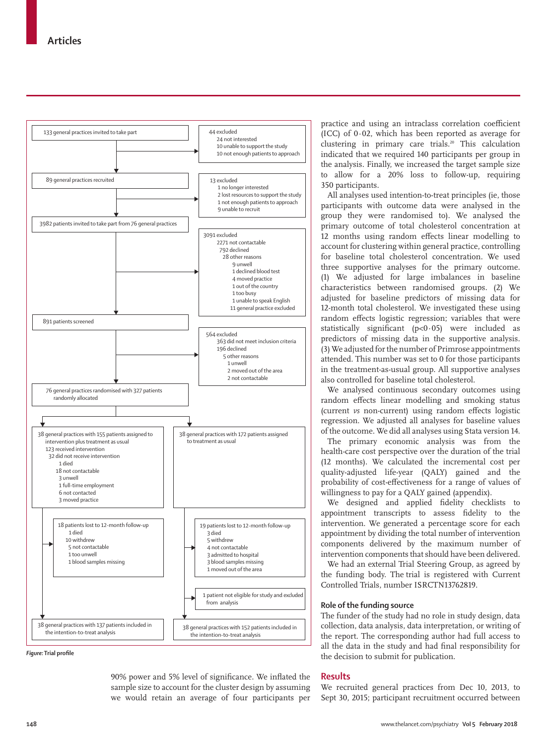

*Figure:* **Trial profile**

90% power and 5% level of significance. We inflated the sample size to account for the cluster design by assuming we would retain an average of four participants per

practice and using an intraclass correlation coefficient (ICC) of 0·02, which has been reported as average for clustering in primary care trials.<sup>20</sup> This calculation indicated that we required 140 participants per group in the analysis. Finally, we increased the target sample size to allow for a 20% loss to follow-up, requiring 350 participants.

All analyses used intention-to-treat principles (ie, those participants with outcome data were analysed in the group they were randomised to). We analysed the primary outcome of total cholesterol concentration at 12 months using random effects linear modelling to account for clustering within general practice, controlling for baseline total cholesterol concentration. We used three supportive analyses for the primary outcome. (1) We adjusted for large imbalances in baseline characteristics between randomised groups. (2) We adjusted for baseline predictors of missing data for 12-month total cholesterol. We investigated these using random effects logistic regression; variables that were statistically significant (p<0·05) were included as predictors of missing data in the supportive analysis. (3) We adjusted for the number of Primrose appointments attended. This number was set to 0 for those participants in the treatment-as-usual group. All supportive analyses also controlled for baseline total cholesterol.

We analysed continuous secondary outcomes using random effects linear modelling and smoking status (current *vs* non-current) using random effects logistic regression. We adjusted all analyses for baseline values of the outcome. We did all analyses using Stata version 14.

The primary economic analysis was from the health-care cost perspective over the duration of the trial (12 months). We calculated the incremental cost per quality-adjusted life-year (QALY) gained and the probability of cost-effectiveness for a range of values of willingness to pay for a QALY gained (appendix).

We designed and applied fidelity checklists to appointment transcripts to assess fidelity to the intervention. We generated a percentage score for each appointment by dividing the total number of intervention components delivered by the maximum number of intervention components that should have been delivered.

We had an external Trial Steering Group, as agreed by the funding body. The trial is registered with Current Controlled Trials, number ISRCTN13762819.

## **Role of the funding source**

The funder of the study had no role in study design, data collection, data analysis, data interpretation, or writing of the report. The corresponding author had full access to all the data in the study and had final responsibility for the decision to submit for publication.

# **Results**

We recruited general practices from Dec 10, 2013, to Sept 30, 2015; participant recruitment occurred between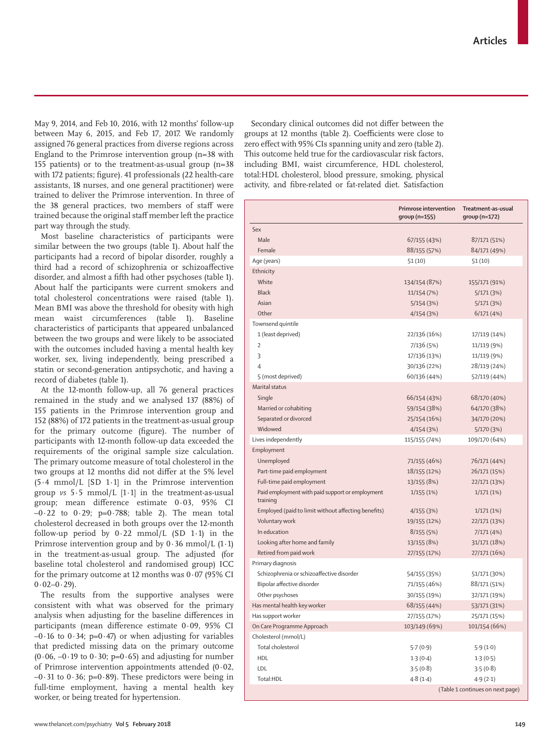May 9, 2014, and Feb 10, 2016, with 12 months' follow-up between May 6, 2015, and Feb 17, 2017. We randomly assigned 76 general practices from diverse regions across England to the Primrose intervention group (n=38 with 155 patients) or to the treatment-as-usual group (n=38 with 172 patients; figure). 41 professionals (22 health-care assistants, 18 nurses, and one general practitioner) were trained to deliver the Primrose intervention. In three of the 38 general practices, two members of staff were trained because the original staff member left the practice part way through the study.

Most baseline characteristics of participants were similar between the two groups (table 1). About half the participants had a record of bipolar disorder, roughly a third had a record of schizophrenia or schizoaffective disorder, and almost a fifth had other psychoses (table 1). About half the participants were current smokers and total cholesterol concentrations were raised (table 1). Mean BMI was above the threshold for obesity with high mean waist circumferences (table 1). Baseline characteristics of participants that appeared unbalanced between the two groups and were likely to be associated with the outcomes included having a mental health key worker, sex, living independently, being prescribed a statin or second-generation antipsychotic, and having a record of diabetes (table 1).

At the 12-month follow-up, all 76 general practices remained in the study and we analysed 137 (88%) of 155 patients in the Primrose intervention group and 152 (88%) of 172 patients in the treatment-as-usual group for the primary outcome (figure). The number of participants with 12-month follow-up data exceeded the requirements of the original sample size calculation. The primary outcome measure of total cholesterol in the two groups at 12 months did not differ at the 5% level (5·4 mmol/L [SD 1·1] in the Primrose intervention group *vs* 5·5 mmol/L [1·1] in the treatment-as-usual group; mean difference estimate 0·03, 95% CI –0·22 to 0·29; p=0·788; table 2). The mean total cholesterol decreased in both groups over the 12-month follow-up period by  $0.22 \text{ mmol/L}$  (SD 1.1) in the Primrose intervention group and by  $0.36$  mmol/L  $(1.1)$ in the treatment-as-usual group. The adjusted (for baseline total cholesterol and randomised group) ICC for the primary outcome at 12 months was  $0.07$  (95% CI  $0.02 - 0.29$ .

The results from the supportive analyses were consistent with what was observed for the primary analysis when adjusting for the baseline differences in participants (mean difference estimate 0·09, 95% CI  $-0.16$  to  $0.34$ ; p=0.47) or when adjusting for variables that predicted missing data on the primary outcome  $(0.06, -0.19$  to  $0.30$ ; p=0.65) and adjusting for number of Primrose intervention appointments attended (0·02,  $-0.31$  to  $0.36$ ; p= $0.89$ ). These predictors were being in full-time employment, having a mental health key worker, or being treated for hypertension.

Secondary clinical outcomes did not differ between the groups at 12 months (table 2). Coefficients were close to zero effect with 95% CIs spanning unity and zero (table 2). This outcome held true for the cardiovascular risk factors, including BMI, waist circumference, HDL cholesterol, total:HDL cholesterol, blood pressure, smoking, physical activity, and fibre-related or fat-related diet. Satisfaction

|                                                             | <b>Primrose intervention</b><br>$group(n=155)$ | Treatment-as-usual<br>$qroup(n=172)$ |
|-------------------------------------------------------------|------------------------------------------------|--------------------------------------|
| Sex                                                         |                                                |                                      |
| Male                                                        | 67/155 (43%)                                   | 87/171 (51%)                         |
| Female                                                      | 88/155 (57%)                                   | 84/171 (49%)                         |
| Age (years)                                                 | 51(10)                                         | 51 (10)                              |
| Ethnicity                                                   |                                                |                                      |
| White                                                       | 134/154 (87%)                                  | 155/171 (91%)                        |
| <b>Black</b>                                                | 11/154 (7%)                                    | 5/171(3%)                            |
| Asian                                                       | 5/154 (3%)                                     | 5/171(3%)                            |
| Other                                                       | 4/154(3%)                                      | 6/171 (4%)                           |
| Townsend quintile                                           |                                                |                                      |
| 1 (least deprived)                                          | 22/136 (16%)                                   | 17/119 (14%)                         |
| $\overline{2}$                                              | 7/136 (5%)                                     | 11/119 (9%)                          |
| 3                                                           | 17/136 (13%)                                   | 11/119 (9%)                          |
| 4                                                           | 30/136 (22%)                                   | 28/119 (24%)                         |
| 5 (most deprived)                                           | 60/136 (44%)                                   | 52/119 (44%)                         |
| Marital status                                              |                                                |                                      |
| Single                                                      | 66/154 (43%)                                   | 68/170 (40%)                         |
| Married or cohabiting                                       | 59/154 (38%)                                   | 64/170 (38%)                         |
| Separated or divorced                                       | 25/154 (16%)                                   | 34/170 (20%)                         |
| Widowed                                                     | 4/154(3%)                                      | 5/170 (3%)                           |
| Lives independently                                         | 115/155 (74%)                                  | 109/170 (64%)                        |
| Employment                                                  |                                                |                                      |
| Unemployed                                                  | 71/155 (46%)                                   | 76/171 (44%)                         |
| Part-time paid employment                                   | 18/155 (12%)                                   | 26/171 (15%)                         |
| Full-time paid employment                                   | 13/155 (8%)                                    | 22/171 (13%)                         |
| Paid employment with paid support or employment<br>training | 1/155(1%)                                      | 1/171(1%)                            |
| Employed (paid to limit without affecting benefits)         | 4/155 (3%)                                     | 1/171(1%)                            |
| Voluntary work                                              | 19/155 (12%)                                   | 22/171 (13%)                         |
| In education                                                | 8/155(5%)                                      | 7/171 (4%)                           |
| Looking after home and family                               | 13/155 (8%)                                    | 31/171 (18%)                         |
| Retired from paid work                                      | 27/155 (17%)                                   | 27/171 (16%)                         |
| Primary diagnosis                                           |                                                |                                      |
| Schizophrenia or schizoaffective disorder                   | 54/155 (35%)                                   | 51/171 (30%)                         |
| Bipolar affective disorder                                  | 71/155 (46%)                                   | 88/171 (51%)                         |
| Other psychoses                                             | 30/155 (19%)                                   | 32/171 (19%)                         |
| Has mental health key worker                                | 68/155 (44%)                                   | 53/171 (31%)                         |
| Has support worker                                          | 27/155 (17%)                                   | 25/171 (15%)                         |
| On Care Programme Approach                                  | 103/149 (69%)                                  | 101/154 (66%)                        |
| Cholesterol (mmol/L)                                        |                                                |                                      |
| Total cholesterol                                           | 5.7(0.9)                                       | 5.9(1.0)                             |
| HDL                                                         | 1.3(0.4)                                       | 1.3(0.5)                             |
| LDL                                                         | 3.5(0.8)                                       | 3.5(0.8)                             |
| Total:HDL                                                   | 4.8(1.4)                                       | 4.9(2.1)                             |
|                                                             |                                                | (Table 1 continues on next page)     |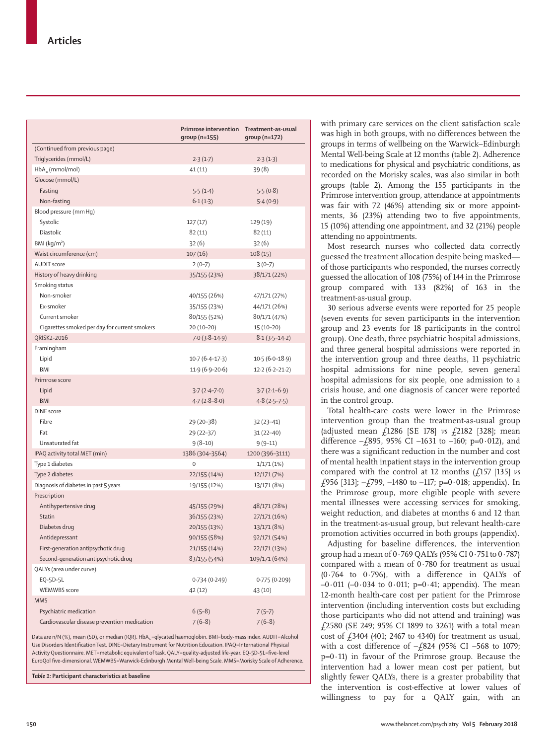|                                               | <b>Primrose intervention</b><br>group (n=155) | Treatment-as-usual<br>$group(n=172)$ |
|-----------------------------------------------|-----------------------------------------------|--------------------------------------|
| (Continued from previous page)                |                                               |                                      |
| Triglycerides (mmol/L)                        | 2.3(1.7)                                      | 2.3(1.3)                             |
| $HbA_{1c}$ (mmol/mol)                         | 41(11)                                        | 39(8)                                |
| Glucose (mmol/L)                              |                                               |                                      |
| Fasting                                       | 5.5(1.4)                                      | 5.5(0.8)                             |
| Non-fasting                                   | 6.1(1.3)                                      | 5.4(0.9)                             |
| Blood pressure (mm Hq)                        |                                               |                                      |
| Systolic                                      | 127 (17)                                      | 129 (19)                             |
| Diastolic                                     | 82(11)                                        | 82(11)                               |
| BM (kg/m <sup>2</sup> )                       | 32(6)                                         | 32(6)                                |
| Waist circumference (cm)                      | 107(16)                                       | 108(15)                              |
| <b>AUDIT</b> score                            | $2(0-7)$                                      | $3(0-7)$                             |
| History of heavy drinking                     | 35/155 (23%)                                  | 38/171 (22%)                         |
| Smoking status                                |                                               |                                      |
| Non-smoker                                    | 40/155 (26%)                                  | 47/171 (27%)                         |
| Ex-smoker                                     | 35/155 (23%)                                  | 44/171 (26%)                         |
| Current smoker                                | 80/155 (52%)                                  | 80/171 (47%)                         |
| Cigarettes smoked per day for current smokers | 20 (10-20)                                    | 15 (10-20)                           |
| ORISK2-2016                                   | $7.0(3.8-14.9)$                               | $8.1(3.5-14.2)$                      |
| Framingham                                    |                                               |                                      |
| Lipid                                         | $10.7(6.4-17.3)$                              | $10.5(6.0-18.9)$                     |
| BMI                                           | $11.9(6.9 - 20.6)$                            | $12.2(6.2 - 21.2)$                   |
| Primrose score                                |                                               |                                      |
| Lipid                                         | $3.7(2.4 - 7.0)$                              | $3.7(2.1-6.9)$                       |
| <b>BMI</b>                                    | $4.7(2.8-8.0)$                                | $4.8(2.5-7.5)$                       |
| <b>DINE</b> score                             |                                               |                                      |
| Fibre                                         | 29 (20-38)                                    | $32(23-41)$                          |
| Fat                                           | 29 (22-37)                                    | $31(22-40)$                          |
| Unsaturated fat                               | $9(8-10)$                                     | $9(9-11)$                            |
| IPAQ activity total MET (min)                 | 1386 (304-3564)                               | 1200 (396-3111)                      |
| Type 1 diabetes                               | 0                                             | 1/171(1%)                            |
| Type 2 diabetes                               | 22/155 (14%)                                  | 12/171 (7%)                          |
| Diagnosis of diabetes in past 5 years         | 19/155 (12%)                                  | 13/171 (8%)                          |
| Prescription                                  |                                               |                                      |
| Antihypertensive drug                         | 45/155 (29%)                                  | 48/171 (28%)                         |
| Statin                                        | 36/155 (23%)                                  | 27/171 (16%)                         |
| Diabetes drug                                 | 20/155 (13%)                                  | 13/171 (8%)                          |
| Antidepressant                                | 90/155 (58%)                                  | 92/171 (54%)                         |
| First-generation antipsychotic drug           | 21/155 (14%)                                  | 22/171 (13%)                         |
| Second-generation antipsychotic drug          | 83/155 (54%)                                  | 109/171 (64%)                        |
| QALYs (area under curve)                      |                                               |                                      |
| EQ-5D-5L                                      | 0.734(0.249)                                  | 0.775(0.209)                         |
| <b>WEMWBS</b> score                           | 42 (12)                                       | 43 (10)                              |
| <b>MMS</b>                                    |                                               |                                      |
| Psychiatric medication                        | $6(5-8)$                                      | $7(5-7)$                             |
|                                               |                                               |                                      |
| Cardiovascular disease prevention medication  | $7(6-8)$                                      | $7(6-8)$                             |

Data are n/N (%), mean (SD), or median (IQR). HbA<sub>1c</sub>=glycated haemoglobin. BMI=body-mass index. AUDIT=Alcohol Use Disorders Identification Test. DINE=Dietary Instrument for Nutrition Education. IPAQ=International Physical Activity Questionnaire. MET=metabolic equivalent of task. QALY=quality-adjusted life-year. EQ-5D-5L=five-level EuroQol five-dimensional. WEMWBS=Warwick–Edinburgh Mental Well-being Scale. MMS=Morisky Scale of Adherence.

*Table 1:* **Participant characteristics at baseline**

with primary care services on the client satisfaction scale was high in both groups, with no differences between the groups in terms of wellbeing on the Warwick–Edinburgh Mental Well-being Scale at 12 months (table 2). Adherence to medications for physical and psychiatric conditions, as recorded on the Morisky scales, was also similar in both groups (table 2). Among the 155 participants in the Primrose intervention group, attendance at appointments was fair with 72 (46%) attending six or more appointments, 36 (23%) attending two to five appointments, 15 (10%) attending one appointment, and 32 (21%) people attending no appointments.

Most research nurses who collected data correctly guessed the treatment allocation despite being masked of those participants who responded, the nurses correctly guessed the allocation of 108 (75%) of 144 in the Primrose group compared with 133 (82%) of 163 in the treatment-as-usual group.

30 serious adverse events were reported for 25 people (seven events for seven participants in the intervention group and 23 events for 18 participants in the control group). One death, three psychiatric hospital admissions, and three general hospital admissions were reported in the intervention group and three deaths, 11 psychiatric hospital admissions for nine people, seven general hospital admissions for six people, one admission to a crisis house, and one diagnosis of cancer were reported in the control group.

Total health-care costs were lower in the Primrose intervention group than the treatment-as-usual group (adjusted mean £1286 [SE 178] *vs* £2182 [328]; mean difference  $-\frac{1}{895}$ , 95% CI -1631 to -160; p=0.012), and there was a significant reduction in the number and cost of mental health inpatient stays in the intervention group compared with the control at 12 months (£157 [135] *vs* £956 [313];  $-\frac{1}{2}$ 799, -1480 to -117; p=0 $\cdot$ 018; appendix). In the Primrose group, more eligible people with severe mental illnesses were accessing services for smoking, weight reduction, and diabetes at months 6 and 12 than in the treatment-as-usual group, but relevant health-care promotion activities occurred in both groups (appendix).

Adjusting for baseline differences, the intervention group had a mean of 0·769 QALYs (95% CI 0·751 to 0·787) compared with a mean of 0·780 for treatment as usual (0·764 to 0·796), with a difference in QALYs of  $-0.011$  ( $-0.034$  to  $0.011$ ; p=0.41; appendix). The mean 12-month health-care cost per patient for the Primrose intervention (including intervention costs but excluding those participants who did not attend and training) was £2580 (SE 249; 95% CI 1899 to 3261) with a total mean cost of  $f$ 3404 (401; 2467 to 4340) for treatment as usual, with a cost difference of  $-\frac{1}{2}824$  (95% CI -568 to 1079; p=0·11) in favour of the Primrose group. Because the intervention had a lower mean cost per patient, but slightly fewer QALYs, there is a greater probability that the intervention is cost-effective at lower values of willingness to pay for a QALY gain, with an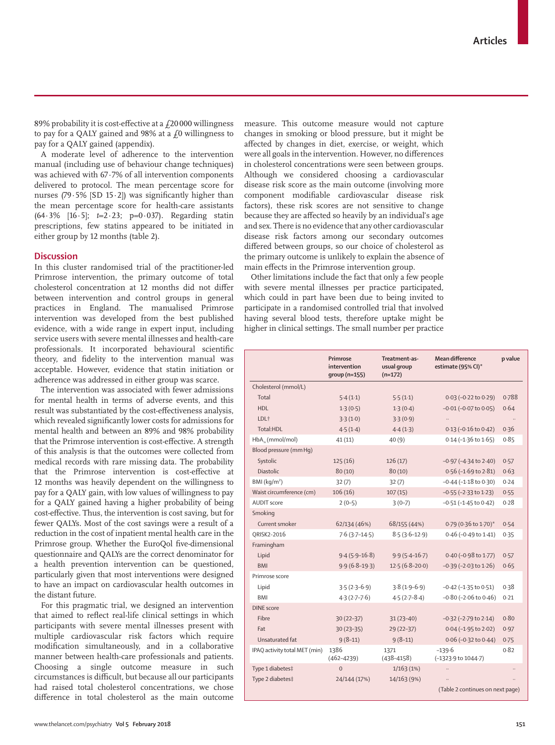89% probability it is cost-effective at a  $\text{\emph{f}}20\,000$  willingness to pay for a QALY gained and 98% at a  $f_0$  willingness to pay for a QALY gained (appendix).

A moderate level of adherence to the intervention manual (including use of behaviour change techniques) was achieved with 67.7% of all intervention components delivered to protocol. The mean percentage score for nurses (79 $\cdot$ 5% [SD 15 $\cdot$ 2]) was significantly higher than the mean percentage score for health-care assistants (64·3% [16·5]; *t*=2·23; p=0·037). Regarding statin prescriptions, few statins appeared to be initiated in either group by 12 months (table 2).

# **Discussion**

In this cluster randomised trial of the practitioner-led Primrose intervention, the primary outcome of total cholesterol concentration at 12 months did not differ between intervention and control groups in general practices in England. The manualised Primrose intervention was developed from the best published evidence, with a wide range in expert input, including service users with severe mental illnesses and health-care professionals. It incorporated behavioural scientific theory, and fidelity to the intervention manual was acceptable. However, evidence that statin initiation or adherence was addressed in either group was scarce.

The intervention was associated with fewer admissions for mental health in terms of adverse events, and this result was substantiated by the cost-effectiveness analysis, which revealed significantly lower costs for admissions for mental health and between an 89% and 98% probability that the Primrose intervention is cost-effective. A strength of this analysis is that the outcomes were collected from medical records with rare missing data. The probability that the Primrose intervention is cost-effective at 12 months was heavily dependent on the willingness to pay for a QALY gain, with low values of willingness to pay for a QALY gained having a higher probability of being cost-effective. Thus, the intervention is cost saving, but for fewer QALYs. Most of the cost savings were a result of a reduction in the cost of inpatient mental health care in the Primrose group. Whether the EuroQol five-dimensional questionnaire and QALYs are the correct denominator for a health prevention intervention can be questioned, particularly given that most interventions were designed to have an impact on cardiovascular health outcomes in the distant future.

For this pragmatic trial, we designed an intervention that aimed to reflect real-life clinical settings in which participants with severe mental illnesses present with multiple cardiovascular risk factors which require modification simultaneously, and in a collaborative manner between health-care professionals and patients. Choosing a single outcome measure in such circumstances is difficult, but because all our participants had raised total cholesterol concentrations, we chose difference in total cholesterol as the main outcome

measure. This outcome measure would not capture changes in smoking or blood pressure, but it might be affected by changes in diet, exercise, or weight, which were all goals in the intervention. However, no differences in cholesterol concentrations were seen between groups. Although we considered choosing a cardiovascular disease risk score as the main outcome (involving more component modifiable cardiovascular disease risk factors), these risk scores are not sensitive to change because they are affected so heavily by an individual's age and sex. There is no evidence that any other cardiovascular disease risk factors among our secondary outcomes differed between groups, so our choice of cholesterol as the primary outcome is unlikely to explain the absence of main effects in the Primrose intervention group.

Other limitations include the fact that only a few people with severe mental illnesses per practice participated, which could in part have been due to being invited to participate in a randomised controlled trial that involved having several blood tests, therefore uptake might be higher in clinical settings. The small number per practice

|                               | Primrose<br>intervention<br>$qroup(n=155)$ | Treatment-as-<br>usual group<br>$(n=172)$ | Mean difference<br>estimate (95% CI)* | p value |
|-------------------------------|--------------------------------------------|-------------------------------------------|---------------------------------------|---------|
| Cholesterol (mmol/L)          |                                            |                                           |                                       |         |
| Total                         | 5.4(1.1)                                   | 5.5(1.1)                                  | $0.03$ (-0.22 to 0.29)                | 0.788   |
| H <sub>DL</sub>               | 1.3(0.5)                                   | 1.3(0.4)                                  | $-0.01$ ( $-0.07$ to $0.05$ )         | 0.64    |
| LDL <sup>+</sup>              | 3.3(1.0)                                   | 3.3(0.9)                                  |                                       |         |
| Total:HDL                     | 4.5(1.4)                                   | 4.4(1.3)                                  | $0.13 (-0.16 \text{ to } 0.42)$       | 0.36    |
| $HbAv$ (mmol/mol)             | 41(11)                                     | 40(9)                                     | $0.14$ (-1.36 to 1.65)                | 0.85    |
| Blood pressure (mm Hq)        |                                            |                                           |                                       |         |
| Systolic                      | 125(16)                                    | 126(17)                                   | $-0.97$ ( $-4.34$ to $2.40$ )         | 0.57    |
| Diastolic                     | 80(10)                                     | 80(10)                                    | $0.56$ (-1.69 to 2.81)                | 0.63    |
| BMl (kg/m <sup>2</sup> )      | 32(7)                                      | 32(7)                                     | $-0.44$ ( $-1.18$ to $0.30$ )         | 0.24    |
| Waist circumference (cm)      | 106(16)                                    | 107(15)                                   | $-0.55$ ( $-2.33$ to 1.23)            | 0.55    |
| <b>AUDIT</b> score            | $2(0-5)$                                   | $3(0-7)$                                  | $-0.51$ ( $-1.45$ to $0.42$ )         | 0.28    |
| Smoking                       |                                            |                                           |                                       |         |
| Current smoker                | 62/134 (46%)                               | 68/155 (44%)                              | 0.79 (0.36 to 1.70)*                  | 0.54    |
| QRISK2-2016                   | $7.6(3.7-14.5)$                            | $8.5(3.6-12.9)$                           | 0.46 (-0.49 to 1.41)                  | 0.35    |
| Framingham                    |                                            |                                           |                                       |         |
| Lipid                         | $9.4(5.9-16.8)$                            | $9.9(5.4 - 16.7)$                         | 0.40 (-0.98 to 1.77)                  | 0.57    |
| <b>BMI</b>                    | $9.9(6.8-19.3)$                            | $12.5(6.8-20.0)$                          | $-0.39$ ( $-2.03$ to $1.26$ )         | 0.65    |
| Primrose score                |                                            |                                           |                                       |         |
| Lipid                         | $3.5(2.3-6.9)$                             | $3.8(1.9-6.9)$                            | $-0.42$ ( $-1.35$ to $0.51$ )         | 0.38    |
| <b>BMI</b>                    | $4.3(2.7-7.6)$                             | $4.5(2.7 - 8.4)$                          | $-0.80$ ( $-2.06$ to $0.46$ )         | 0.21    |
| <b>DINE</b> score             |                                            |                                           |                                       |         |
| Fibre                         | 30 (22-37)                                 | $31(23 - 40)$                             | $-0.32$ ( $-2.79$ to $2.14$ )         | 0.80    |
| Fat                           | $30(23 - 35)$                              | 29 (22-37)                                | $0.04 (-1.95 to 2.02)$                | 0.97    |
| Unsaturated fat               | $9(8-11)$                                  | $9(8-11)$                                 | $0.06$ (-0.32 to 0.44)                | 0.75    |
| IPAQ activity total MET (min) | 1386<br>$(462 - 4239)$                     | 1371<br>$(438 - 4158)$                    | $-139.6$<br>(-1323.9 to 1044.7)       | 0.82    |
| Type 1 diabetes‡              | $\Omega$                                   | 1/163(1%)                                 |                                       |         |
| Type 2 diabetes‡              | 24/144 (17%)                               | 14/163 (9%)                               |                                       |         |
|                               |                                            |                                           | (Table 2 continues on next page)      |         |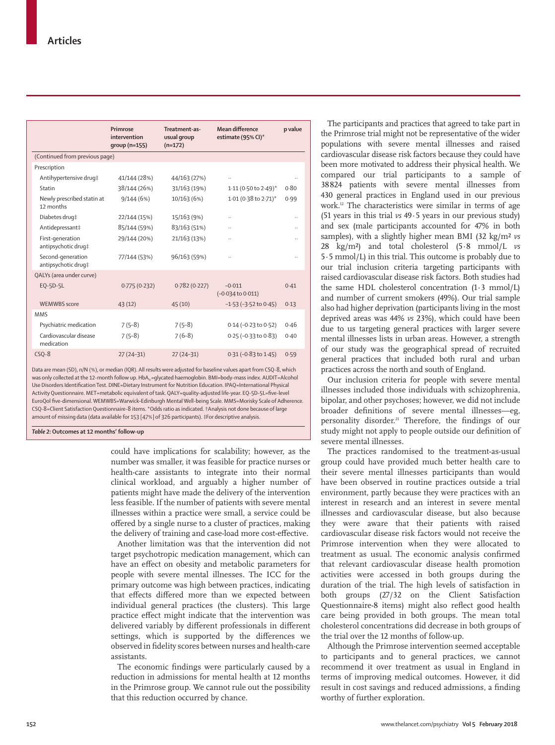|                                          | Primrose<br>intervention<br>qroup (n=155) | Treatment-as-<br>usual group<br>$(n=172)$ | Mean difference<br>estimate (95% CI)*    | p value |  |
|------------------------------------------|-------------------------------------------|-------------------------------------------|------------------------------------------|---------|--|
| (Continued from previous page)           |                                           |                                           |                                          |         |  |
| Prescription                             |                                           |                                           |                                          |         |  |
| Antihypertensive drug‡                   | 41/144 (28%)                              | 44/163 (27%)                              |                                          |         |  |
| Statin                                   | 38/144 (26%)                              | 31/163 (19%)                              | 1.11 (0.50 to 2.49)*                     | 0.80    |  |
| Newly prescribed statin at<br>12 months  | 9/144(6%)                                 | 10/163 (6%)                               | 1.01 (0.38 to 2.71)*                     | 0.99    |  |
| Diabetes drug#                           | 22/144 (15%)                              | 15/163 (9%)                               |                                          |         |  |
| Antidepressant‡                          | 85/144 (59%)                              | 83/163 (51%)                              |                                          |         |  |
| First-generation<br>antipsychotic drug‡  | 29/144 (20%)                              | 21/163 (13%)                              |                                          |         |  |
| Second-generation<br>antipsychotic drug‡ | 77/144 (53%)                              | 96/163 (59%)                              |                                          |         |  |
| QALYs (area under curve)                 |                                           |                                           |                                          |         |  |
| EQ-5D-5L                                 | 0.775(0.232)                              | 0.782(0.227)                              | $-0.011$<br>$(-0.034 \text{ to } 0.011)$ | 0.41    |  |
| <b>WEMWBS</b> score                      | 43(12)                                    | 45(10)                                    | $-1.53$ ( $-3.52$ to 0.45)               | 0.13    |  |
| <b>MMS</b>                               |                                           |                                           |                                          |         |  |
| Psychiatric medication                   | $7(5-8)$                                  | $7(5-8)$                                  | 0.14 (-0.23 to 0.52)                     | 0.46    |  |
| Cardiovascular disease<br>medication     | $7(5-8)$                                  | $7(6-8)$                                  | $0.25 (-0.33$ to $0.83$ )                | 0.40    |  |
| $CSO-8$                                  | $27(24-31)$                               | $27(24-31)$                               | $0.31 (-0.83$ to $1.45)$                 | 0.59    |  |

Data are mean (SD), n/N (%), or median (IQR). All results were adjusted for baseline values apart from CSQ-8, which was only collected at the 12-month follow up. HbA<sub>1c</sub>=glycated haemoglobin. BMI=body-mass index. AUDIT=Alcohol Use Disorders Identification Test. DINE=Dietary Instrument for Nutrition Education. IPAQ=International Physical Activity Questionnaire. MET=metabolic equivalent of task. QALY=quality-adjusted life-year. EQ-5D-5L=five-level EuroQol five-dimensional. WEMWBS=Warwick–Edinburgh Mental Well-being Scale. MMS=Morisky Scale of Adherence. CSQ-8=Client Satisfaction Questionnaire-8 items. \*Odds ratio as indicated. †Analysis not done because of large amount of missing data (data available for 153 [47%] of 326 participants). ‡For descriptive analysis.

*Table 2:* **Outcomes at 12 months' follow-up**

could have implications for scalability; however, as the number was smaller, it was feasible for practice nurses or health-care assistants to integrate into their normal clinical workload, and arguably a higher number of patients might have made the delivery of the intervention less feasible. If the number of patients with severe mental illnesses within a practice were small, a service could be offered by a single nurse to a cluster of practices, making the delivery of training and case-load more cost-effective.

Another limitation was that the intervention did not target psychotropic medication management, which can have an effect on obesity and metabolic parameters for people with severe mental illnesses. The ICC for the primary outcome was high between practices, indicating that effects differed more than we expected between individual general practices (the clusters). This large practice effect might indicate that the intervention was delivered variably by different professionals in different settings, which is supported by the differences we observed in fidelity scores between nurses and health-care assistants.

The economic findings were particularly caused by a reduction in admissions for mental health at 12 months in the Primrose group. We cannot rule out the possibility that this reduction occurred by chance.

The participants and practices that agreed to take part in the Primrose trial might not be representative of the wider populations with severe mental illnesses and raised cardiovascular disease risk factors because they could have been more motivated to address their physical health. We compared our trial participants to a sample of 38824 patients with severe mental illnesses from 430 general practices in England used in our previous work.12 The characteristics were similar in terms of age (51 years in this trial *vs* 49·5 years in our previous study) and sex (male participants accounted for 47% in both samples), with a slightly higher mean BMI (32 kg/m<sup>2</sup> *vs*) 28 kg/m²) and total cholesterol (5·8 mmol/L *vs* 5·5 mmol/L) in this trial. This outcome is probably due to our trial inclusion criteria targeting participants with raised cardiovascular disease risk factors. Both studies had the same HDL cholesterol concentration (1·3 mmol/L) and number of current smokers (49%). Our trial sample also had higher deprivation (participants living in the most deprived areas was 44% *vs* 23%), which could have been due to us targeting general practices with larger severe mental illnesses lists in urban areas. However, a strength of our study was the geographical spread of recruited general practices that included both rural and urban practices across the north and south of England.

Our inclusion criteria for people with severe mental illnesses included those individuals with schizophrenia, bipolar, and other psychoses; however, we did not include broader definitions of severe mental illnesses—eg, personality disorder.21 Therefore, the findings of our study might not apply to people outside our definition of severe mental illnesses.

The practices randomised to the treatment-as-usual group could have provided much better health care to their severe mental illnesses participants than would have been observed in routine practices outside a trial environment, partly because they were practices with an interest in research and an interest in severe mental illnesses and cardiovascular disease, but also because they were aware that their patients with raised cardiovascular disease risk factors would not receive the Primrose intervention when they were allocated to treatment as usual. The economic analysis confirmed that relevant cardiovascular disease health promotion activities were accessed in both groups during the duration of the trial. The high levels of satisfaction in both groups (27/32 on the Client Satisfaction Questionnaire-8 items) might also reflect good health care being provided in both groups. The mean total cholesterol concentrations did decrease in both groups of the trial over the 12 months of follow-up.

Although the Primrose intervention seemed acceptable to participants and to general practices, we cannot recommend it over treatment as usual in England in terms of improving medical outcomes. However, it did result in cost savings and reduced admissions, a finding worthy of further exploration.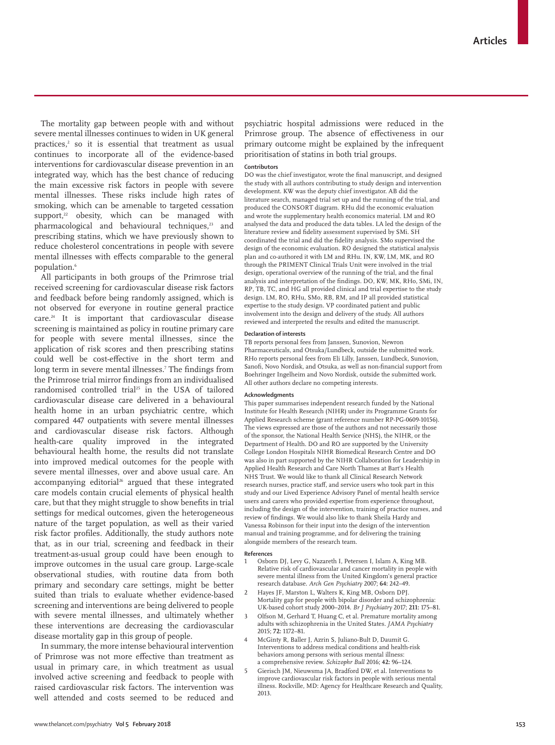The mortality gap between people with and without severe mental illnesses continues to widen in UK general practices,<sup>2</sup> so it is essential that treatment as usual continues to incorporate all of the evidence-based interventions for cardiovascular disease prevention in an integrated way, which has the best chance of reducing the main excessive risk factors in people with severe mental illnesses. These risks include high rates of smoking, which can be amenable to targeted cessation support, $22$  obesity, which can be managed with pharmacological and behavioural techniques,<sup>23</sup> and prescribing statins, which we have previously shown to reduce cholesterol concentrations in people with severe mental illnesses with effects comparable to the general population.<sup>6</sup>

All participants in both groups of the Primrose trial received screening for cardiovascular disease risk factors and feedback before being randomly assigned, which is not observed for everyone in routine general practice care.24 It is important that cardiovascular disease screening is maintained as policy in routine primary care for people with severe mental illnesses, since the application of risk scores and then prescribing statins could well be cost-effective in the short term and long term in severe mental illnesses.7 The findings from the Primrose trial mirror findings from an individualised randomised controlled trial<sup>25</sup> in the USA of tailored cardiovascular disease care delivered in a behavioural health home in an urban psychiatric centre, which compared 447 outpatients with severe mental illnesses and cardiovascular disease risk factors. Although health-care quality improved in the integrated behavioural health home, the results did not translate into improved medical outcomes for the people with severe mental illnesses, over and above usual care. An accompanying editorial<sup>26</sup> argued that these integrated care models contain crucial elements of physical health care, but that they might struggle to show benefits in trial settings for medical outcomes, given the heterogeneous nature of the target population, as well as their varied risk factor profiles. Additionally, the study authors note that, as in our trial, screening and feedback in their treatment-as-usual group could have been enough to improve outcomes in the usual care group. Large-scale observational studies, with routine data from both primary and secondary care settings, might be better suited than trials to evaluate whether evidence-based screening and interventions are being delivered to people with severe mental illnesses, and ultimately whether these interventions are decreasing the cardiovascular disease mortality gap in this group of people.

In summary, the more intense behavioural intervention of Primrose was not more effective than treatment as usual in primary care, in which treatment as usual involved active screening and feedback to people with raised cardiovascular risk factors. The intervention was well attended and costs seemed to be reduced and psychiatric hospital admissions were reduced in the Primrose group. The absence of effectiveness in our primary outcome might be explained by the infrequent prioritisation of statins in both trial groups.

#### **Contributors**

DO was the chief investigator, wrote the final manuscript, and designed the study with all authors contributing to study design and intervention development. KW was the deputy chief investigator. AB did the literature search, managed trial set up and the running of the trial, and produced the CONSORT diagram. RHu did the economic evaluation and wrote the supplementary health economics material. LM and RO analysed the data and produced the data tables. LA led the design of the literature review and fidelity assessment supervised by SMi. SH coordinated the trial and did the fidelity analysis. SMo supervised the design of the economic evaluation. RO designed the statistical analysis plan and co-authored it with LM and RHu. IN, KW, LM, MK, and RO through the PRIMENT Clinical Trials Unit were involved in the trial design, operational overview of the running of the trial, and the final analysis and interpretation of the findings. DO, KW, MK, RHo, SMi, IN, RP, TB, TC, and HG all provided clinical and trial expertise to the study design. LM, RO, RHu, SMo, RB, RM, and IP all provided statistical expertise to the study design. VP coordinated patient and public involvement into the design and delivery of the study. All authors reviewed and interpreted the results and edited the manuscript.

#### **Declaration of interests**

TB reports personal fees from Janssen, Sunovion, Newron Pharmaceuticals, and Otsuka/Lundbeck, outside the submitted work. RHo reports personal fees from Eli Lilly, Janssen, Lundbeck, Sunovion, Sanofi, Novo Nordisk, and Otsuka, as well as non-financial support from Boehringer Ingelheim and Novo Nordisk, outside the submitted work. All other authors declare no competing interests.

#### **Acknowledgments**

This paper summarises independent research funded by the National Institute for Health Research (NIHR) under its Programme Grants for Applied Research scheme (grant reference number RP-PG-0609-10156). The views expressed are those of the authors and not necessarily those of the sponsor, the National Health Service (NHS), the NIHR, or the Department of Health. DO and RO are supported by the University College London Hospitals NIHR Biomedical Research Centre and DO was also in part supported by the NIHR Collaboration for Leadership in Applied Health Research and Care North Thames at Bart's Health NHS Trust. We would like to thank all Clinical Research Network research nurses, practice staff, and service users who took part in this study and our Lived Experience Advisory Panel of mental health service users and carers who provided expertise from experience throughout, including the design of the intervention, training of practice nurses, and review of findings. We would also like to thank Sheila Hardy and Vanessa Robinson for their input into the design of the intervention manual and training programme, and for delivering the training alongside members of the research team.

#### **References**

- 1 Osborn DJ, Levy G, Nazareth I, Petersen I, Islam A, King MB. Relative risk of cardiovascular and cancer mortality in people with severe mental illness from the United Kingdom's general practice research database. *Arch Gen Psychiatry* 2007; **64:** 242–49.
- Hayes JF, Marston L, Walters K, King MB, Osborn DPJ. Mortality gap for people with bipolar disorder and schizophrenia: UK-based cohort study 2000–2014. *Br J Psychiatry* 2017; **211:** 175–81.
- Olfson M, Gerhard T, Huang C, et al. Premature mortality among adults with schizophrenia in the United States. *JAMA Psychiatry* 2015; **72:** 1172–81.
- 4 McGinty R, Baller J, Azrin S, Juliano-Bult D, Daumit G. Interventions to address medical conditions and health-risk behaviors among persons with serious mental illness: a comprehensive review. *Schizophr Bull* 2016; **42:** 96–124.
- 5 Gierisch JM, Nieuwsma JA, Bradford DW, et al. Interventions to improve cardiovascular risk factors in people with serious mental illness. Rockville, MD: Agency for Healthcare Research and Quality, 2013.